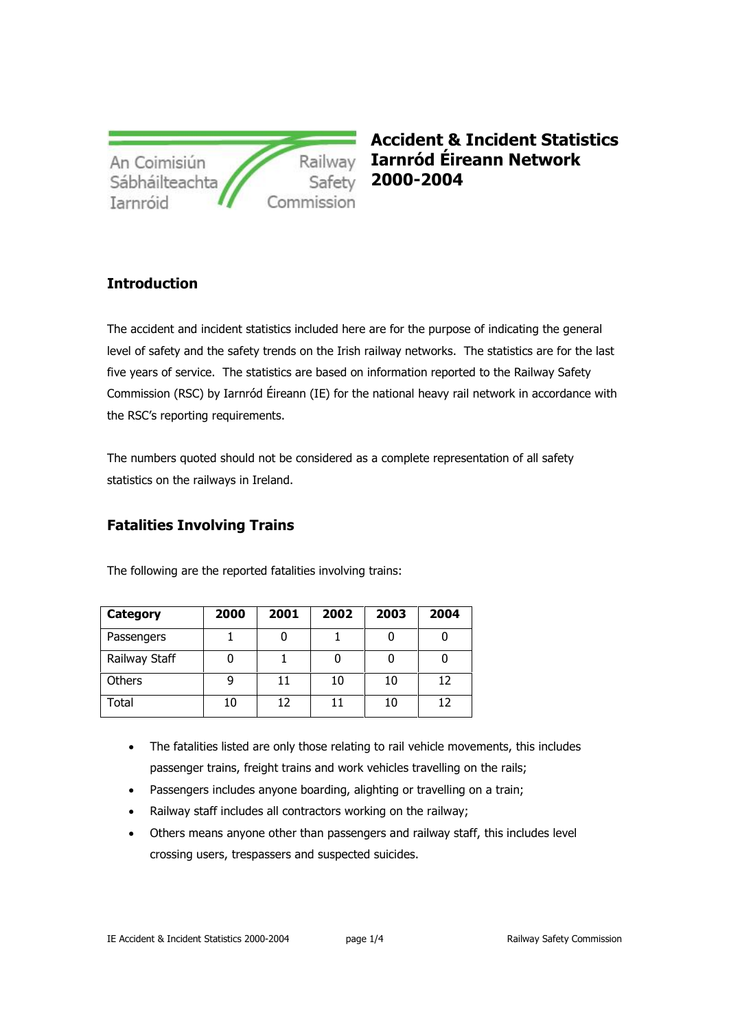| An Coimisiún   | Railway    |
|----------------|------------|
| Sábháilteachta | Safety     |
| Iarnróid       | Commission |

**Accident & Incident Statistics Iarnród Éireann Network 2000-2004**

## **Introduction**

The accident and incident statistics included here are for the purpose of indicating the general level of safety and the safety trends on the Irish railway networks. The statistics are for the last five years of service. The statistics are based on information reported to the Railway Safety Commission (RSC) by Iarnród Éireann (IE) for the national heavy rail network in accordance with the RSC's reporting requirements.

The numbers quoted should not be considered as a complete representation of all safety statistics on the railways in Ireland.

## **Fatalities Involving Trains**

| Category      | 2000 | 2001 | 2002 | 2003 | 2004 |  |
|---------------|------|------|------|------|------|--|
| Passengers    |      |      |      |      |      |  |
| Railway Staff |      |      |      |      |      |  |
| Others        |      | 11   | 10   | 10   | 12   |  |
| Total         | 10   | 17   |      | 10   | 12   |  |

The following are the reported fatalities involving trains:

- The fatalities listed are only those relating to rail vehicle movements, this includes passenger trains, freight trains and work vehicles travelling on the rails;
- Passengers includes anyone boarding, alighting or travelling on a train;
- Railway staff includes all contractors working on the railway;
- Others means anyone other than passengers and railway staff, this includes level crossing users, trespassers and suspected suicides.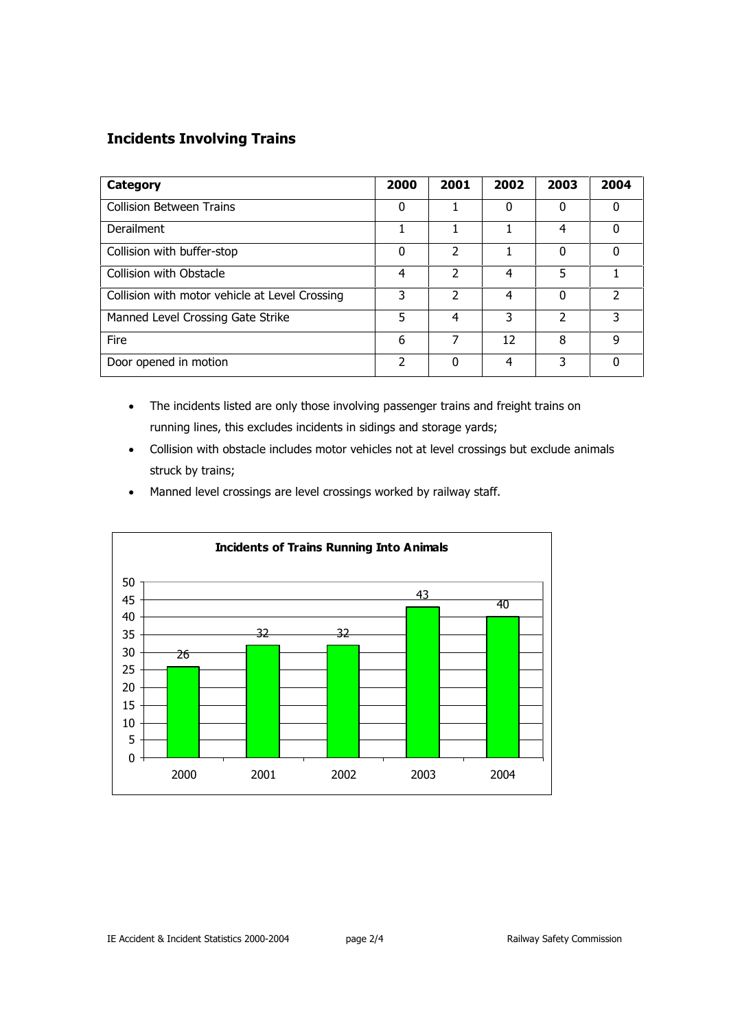## **Incidents Involving Trains**

| Category                                       | 2000          | 2001          | 2002 | 2003 | 2004     |
|------------------------------------------------|---------------|---------------|------|------|----------|
| <b>Collision Between Trains</b>                | 0             |               | 0    | O    | 0        |
| Derailment                                     |               |               |      | 4    | $\Omega$ |
| Collision with buffer-stop                     | 0             | 2             |      | O    | $\Omega$ |
| Collision with Obstacle                        | 4             | 2             | 4    | 5    |          |
| Collision with motor vehicle at Level Crossing | 3             | $\mathcal{P}$ | 4    | 0    | C.       |
| Manned Level Crossing Gate Strike              | 5             | 4             | 3    | 2    | 3        |
| Fire                                           | 6             | 7             | 12   | 8    | q        |
| Door opened in motion                          | $\mathcal{P}$ | $\Omega$      | 4    | 3    | $\Omega$ |

- The incidents listed are only those involving passenger trains and freight trains on running lines, this excludes incidents in sidings and storage yards;
- Collision with obstacle includes motor vehicles not at level crossings but exclude animals struck by trains;
- Manned level crossings are level crossings worked by railway staff.

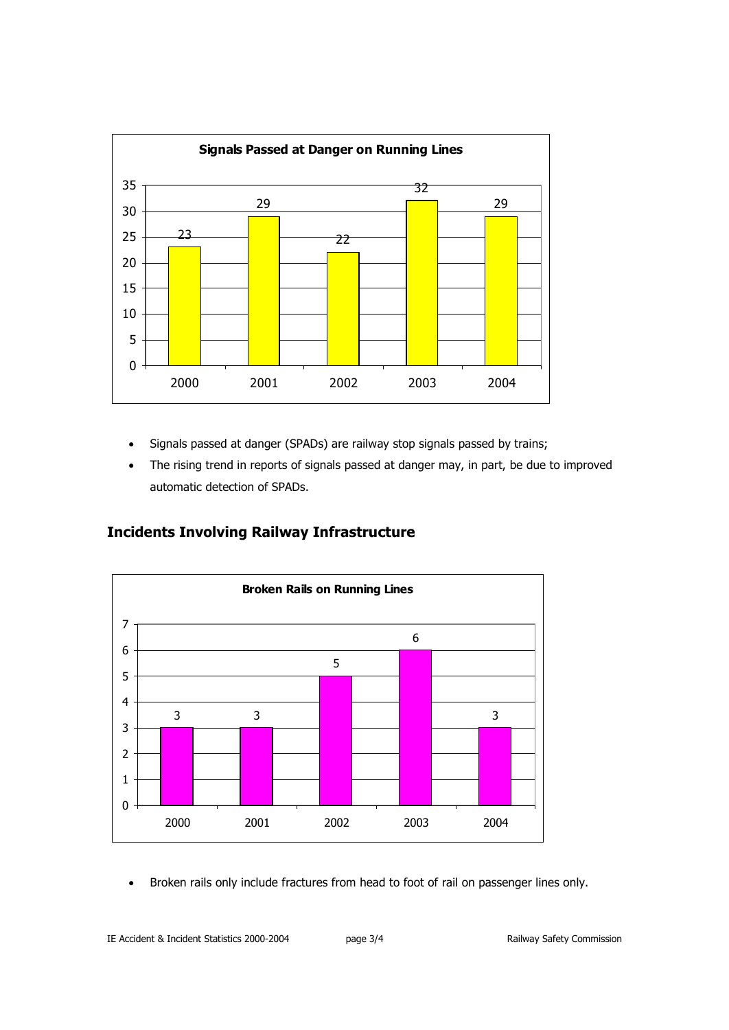

- Signals passed at danger (SPADs) are railway stop signals passed by trains;
- The rising trend in reports of signals passed at danger may, in part, be due to improved automatic detection of SPADs.

## **Incidents Involving Railway Infrastructure**



• Broken rails only include fractures from head to foot of rail on passenger lines only.